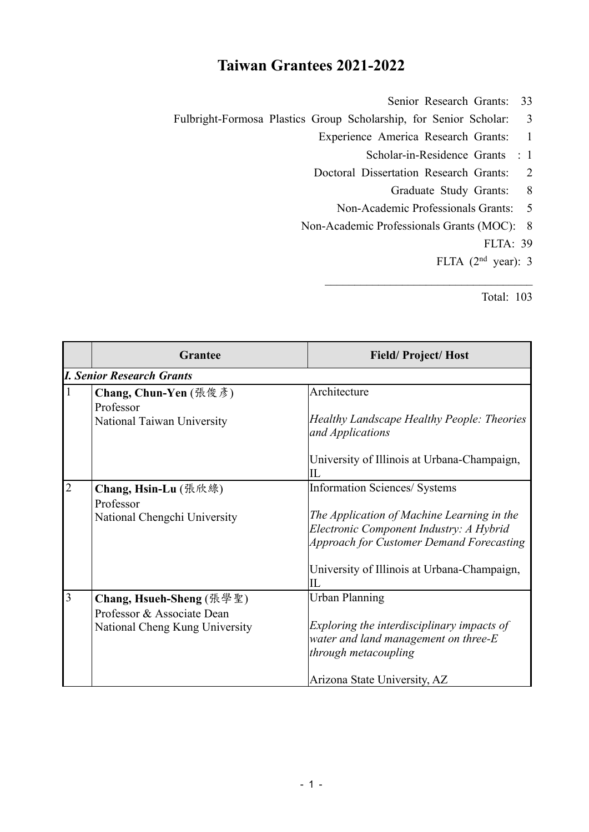## **Taiwan Grantees 2021-2022**

- Senior Research Grants: 33
- Fulbright-Formosa Plastics Group Scholarship, for Senior Scholar: 3
	- Experience America Research Grants: 1
		- Scholar-in-Residence Grants : 1
	- Doctoral Dissertation Research Grants: 2
		- Graduate Study Grants: 8
		- Non-Academic Professionals Grants: 5
	- Non-Academic Professionals Grants (MOC): 8
		- FLTA: 39
		- FLTA (2nd year): 3

Total: 103

|                | <b>Grantee</b>                   | <b>Field/Project/Host</b>                                      |
|----------------|----------------------------------|----------------------------------------------------------------|
|                | <b>I. Senior Research Grants</b> |                                                                |
|                | Chang, Chun-Yen (張俊彥)            | Architecture                                                   |
|                | Professor                        |                                                                |
|                | National Taiwan University       | Healthy Landscape Healthy People: Theories<br>and Applications |
|                |                                  | University of Illinois at Urbana-Champaign,<br>IL              |
| $\overline{2}$ | Chang, Hsin-Lu (張欣綠)             | Information Sciences/ Systems                                  |
|                | Professor                        |                                                                |
|                | National Chengchi University     | The Application of Machine Learning in the                     |
|                |                                  | Electronic Component Industry: A Hybrid                        |
|                |                                  | <b>Approach for Customer Demand Forecasting</b>                |
|                |                                  | University of Illinois at Urbana-Champaign,<br>IL              |
| 3              | Chang, Hsueh-Sheng (張學聖)         | <b>Urban Planning</b>                                          |
|                | Professor & Associate Dean       |                                                                |
|                | National Cheng Kung University   | Exploring the interdisciplinary impacts of                     |
|                |                                  | water and land management on three-E                           |
|                |                                  | through metacoupling                                           |
|                |                                  | Arizona State University, AZ                                   |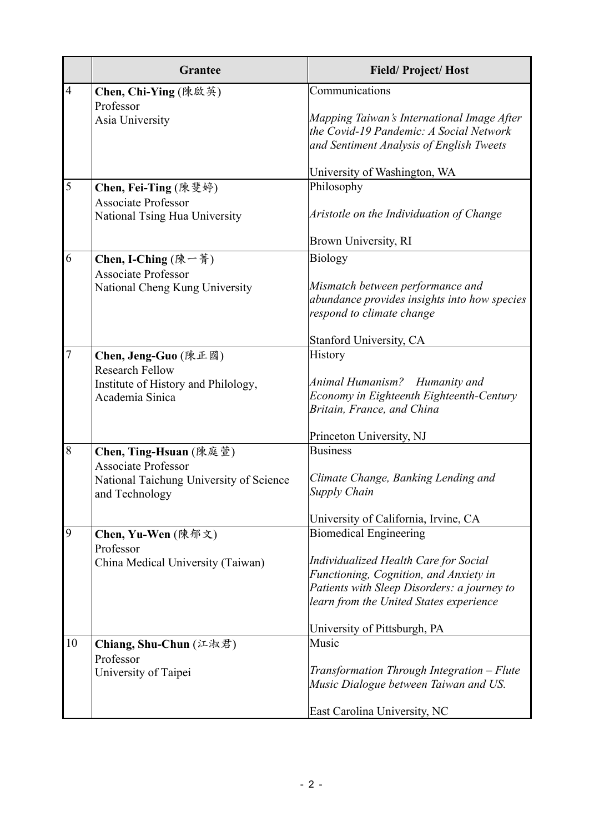|                | <b>Grantee</b>                                              | <b>Field/Project/Host</b>                                                                                                                                                 |
|----------------|-------------------------------------------------------------|---------------------------------------------------------------------------------------------------------------------------------------------------------------------------|
| $\overline{4}$ | Chen, Chi-Ying (陳啟英)                                        | Communications                                                                                                                                                            |
|                | Professor<br>Asia University                                | Mapping Taiwan's International Image After<br>the Covid-19 Pandemic: A Social Network<br>and Sentiment Analysis of English Tweets                                         |
|                |                                                             | University of Washington, WA                                                                                                                                              |
| 5              | Chen, Fei-Ting (陳斐婷)                                        | Philosophy                                                                                                                                                                |
|                | <b>Associate Professor</b><br>National Tsing Hua University | Aristotle on the Individuation of Change                                                                                                                                  |
|                |                                                             | Brown University, RI                                                                                                                                                      |
| 6              | Chen, I-Ching (陳一菁)<br><b>Associate Professor</b>           | <b>Biology</b>                                                                                                                                                            |
|                | National Cheng Kung University                              | Mismatch between performance and<br>abundance provides insights into how species<br>respond to climate change                                                             |
|                |                                                             | Stanford University, CA                                                                                                                                                   |
| $\overline{7}$ | Chen, Jeng-Guo (陳正國)<br><b>Research Fellow</b>              | History                                                                                                                                                                   |
|                | Institute of History and Philology,<br>Academia Sinica      | Animal Humanism? Humanity and<br>Economy in Eighteenth Eighteenth-Century<br>Britain, France, and China                                                                   |
|                |                                                             | Princeton University, NJ                                                                                                                                                  |
| $8\,$          | Chen, Ting-Hsuan (陳庭萱)<br><b>Associate Professor</b>        | <b>Business</b>                                                                                                                                                           |
|                | National Taichung University of Science<br>and Technology   | Climate Change, Banking Lending and<br>Supply Chain                                                                                                                       |
|                |                                                             | University of California, Irvine, CA                                                                                                                                      |
| 9              | Chen, Yu-Wen (陳郁文)<br>Professor                             | <b>Biomedical Engineering</b>                                                                                                                                             |
|                | China Medical University (Taiwan)                           | Individualized Health Care for Social<br>Functioning, Cognition, and Anxiety in<br>Patients with Sleep Disorders: a journey to<br>learn from the United States experience |
|                |                                                             | University of Pittsburgh, PA                                                                                                                                              |
| 10             | Chiang, Shu-Chun (江淑君)<br>Professor                         | Music                                                                                                                                                                     |
|                | University of Taipei                                        | Transformation Through Integration - Flute<br>Music Dialogue between Taiwan and US.                                                                                       |
|                |                                                             | East Carolina University, NC                                                                                                                                              |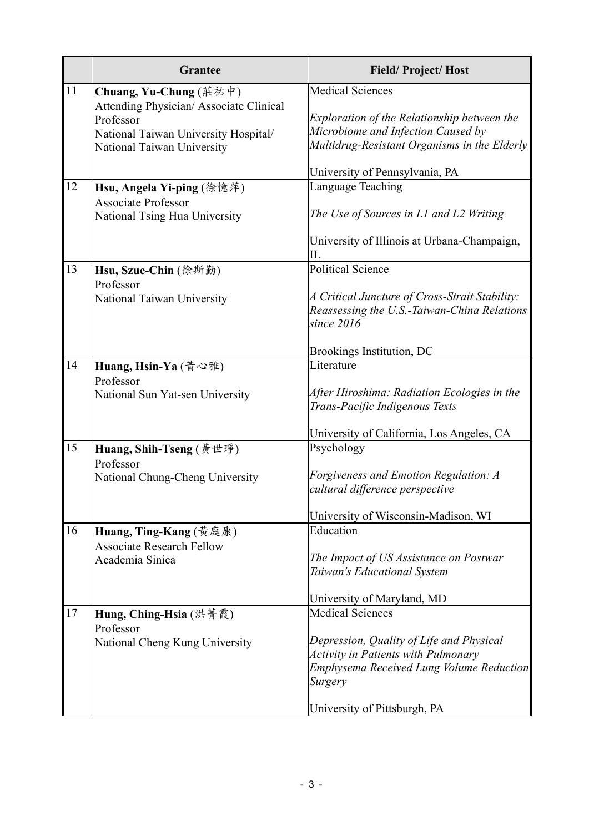|    | <b>Grantee</b>                                                                                                                                      | <b>Field/Project/Host</b>                                                                                                                                                                                       |
|----|-----------------------------------------------------------------------------------------------------------------------------------------------------|-----------------------------------------------------------------------------------------------------------------------------------------------------------------------------------------------------------------|
| 11 | Chuang, Yu-Chung (莊祐中)<br>Attending Physician/Associate Clinical<br>Professor<br>National Taiwan University Hospital/<br>National Taiwan University | <b>Medical Sciences</b><br>Exploration of the Relationship between the<br>Microbiome and Infection Caused by<br>Multidrug-Resistant Organisms in the Elderly                                                    |
| 12 | Hsu, Angela Yi-ping (徐憶萍)<br><b>Associate Professor</b><br>National Tsing Hua University                                                            | University of Pennsylvania, PA<br>Language Teaching<br>The Use of Sources in L1 and L2 Writing<br>University of Illinois at Urbana-Champaign,<br>IL                                                             |
| 13 | Hsu, Szue-Chin (徐斯勤)<br>Professor<br>National Taiwan University                                                                                     | <b>Political Science</b><br>A Critical Juncture of Cross-Strait Stability:<br>Reassessing the U.S.-Taiwan-China Relations<br>since $2016$<br>Brookings Institution, DC                                          |
| 14 | Huang, Hsin-Ya (黃心雅)<br>Professor<br>National Sun Yat-sen University                                                                                | Literature<br>After Hiroshima: Radiation Ecologies in the<br>Trans-Pacific Indigenous Texts<br>University of California, Los Angeles, CA                                                                        |
| 15 | Huang, Shih-Tseng (黃世琤)<br>Professor<br>National Chung-Cheng University                                                                             | Psychology<br>Forgiveness and Emotion Regulation: A<br>cultural difference perspective<br>University of Wisconsin-Madison, WI                                                                                   |
| 16 | Huang, Ting-Kang (黃庭康)<br><b>Associate Research Fellow</b><br>Academia Sinica                                                                       | Education<br>The Impact of US Assistance on Postwar<br>Taiwan's Educational System<br>University of Maryland, MD                                                                                                |
| 17 | Hung, Ching-Hsia (洪菁霞)<br>Professor<br>National Cheng Kung University                                                                               | <b>Medical Sciences</b><br>Depression, Quality of Life and Physical<br><b>Activity in Patients with Pulmonary</b><br><b>Emphysema Received Lung Volume Reduction</b><br>Surgery<br>University of Pittsburgh, PA |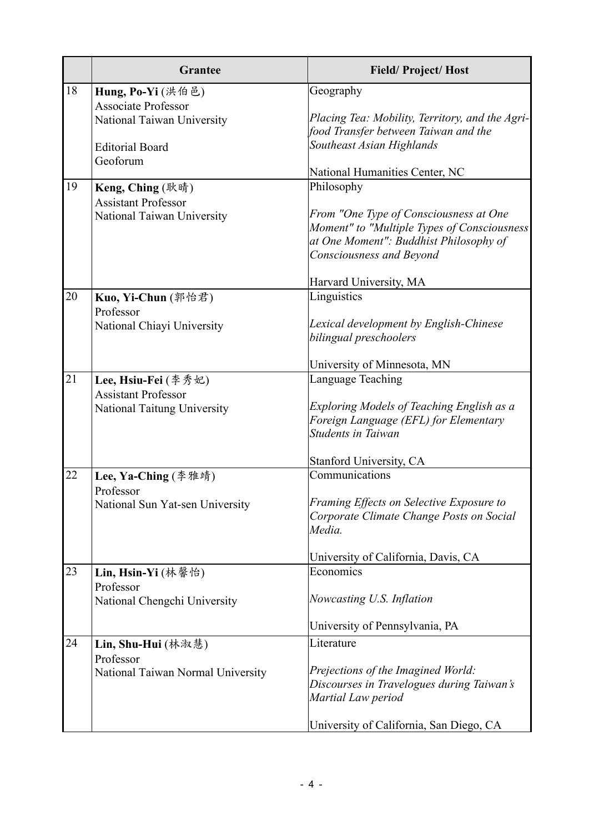|    | <b>Grantee</b>                                           | <b>Field/Project/Host</b>                                                                                                                                   |
|----|----------------------------------------------------------|-------------------------------------------------------------------------------------------------------------------------------------------------------------|
| 18 | Hung, Po-Yi (洪伯邑)                                        | Geography                                                                                                                                                   |
|    | <b>Associate Professor</b><br>National Taiwan University | Placing Tea: Mobility, Territory, and the Agri-<br>food Transfer between Taiwan and the                                                                     |
|    | <b>Editorial Board</b>                                   | Southeast Asian Highlands                                                                                                                                   |
|    | Geoforum                                                 | National Humanities Center, NC                                                                                                                              |
| 19 | Keng, Ching (耿晴)                                         | Philosophy                                                                                                                                                  |
|    | <b>Assistant Professor</b>                               |                                                                                                                                                             |
|    | National Taiwan University                               | From "One Type of Consciousness at One<br>Moment" to "Multiple Types of Consciousness<br>at One Moment": Buddhist Philosophy of<br>Consciousness and Beyond |
|    |                                                          | Harvard University, MA                                                                                                                                      |
| 20 | Kuo, Yi-Chun (郭怡君)                                       | Linguistics                                                                                                                                                 |
|    | Professor                                                |                                                                                                                                                             |
|    | National Chiayi University                               | Lexical development by English-Chinese<br>bilingual preschoolers                                                                                            |
|    |                                                          | University of Minnesota, MN                                                                                                                                 |
| 21 | Lee, Hsiu-Fei (李秀妃)                                      | Language Teaching                                                                                                                                           |
|    | <b>Assistant Professor</b>                               |                                                                                                                                                             |
|    | National Taitung University                              | Exploring Models of Teaching English as a<br>Foreign Language (EFL) for Elementary<br><b>Students in Taiwan</b>                                             |
|    |                                                          | Stanford University, CA                                                                                                                                     |
| 22 | Lee, Ya-Ching (李雅靖)<br>Professor                         | Communications                                                                                                                                              |
|    | National Sun Yat-sen University                          | Framing Effects on Selective Exposure to<br>Corporate Climate Change Posts on Social<br>Media.                                                              |
|    |                                                          | University of California, Davis, CA                                                                                                                         |
| 23 | Lin, Hsin-Yi (林馨怡)                                       | Economics                                                                                                                                                   |
|    | Professor<br>National Chengchi University                | Nowcasting U.S. Inflation                                                                                                                                   |
|    |                                                          | University of Pennsylvania, PA                                                                                                                              |
| 24 | Lin, Shu-Hui (林淑慧)<br>Professor                          | Literature                                                                                                                                                  |
|    | National Taiwan Normal University                        | Prejections of the Imagined World:<br>Discourses in Travelogues during Taiwan's<br>Martial Law period                                                       |
|    |                                                          | University of California, San Diego, CA                                                                                                                     |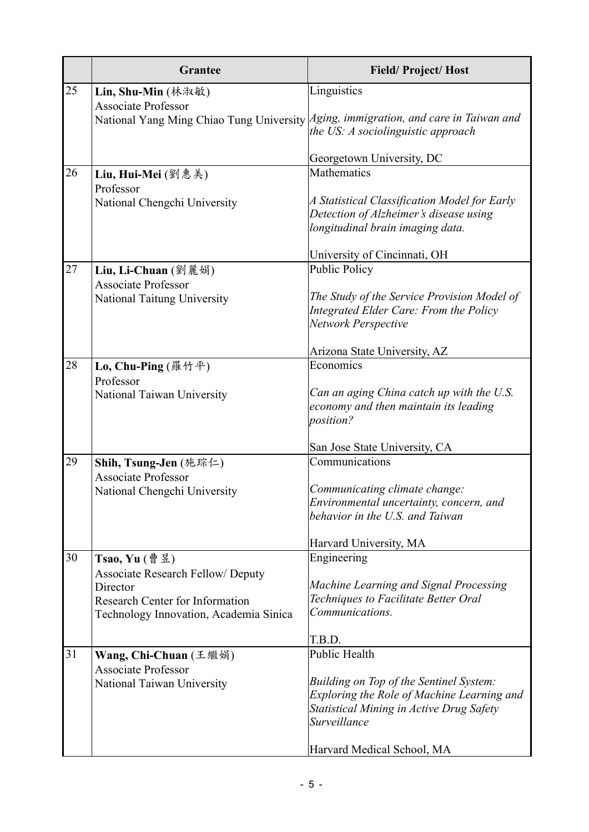|    | <b>Grantee</b>                                                                                                                           | <b>Field/Project/Host</b>                                                                                                                                |
|----|------------------------------------------------------------------------------------------------------------------------------------------|----------------------------------------------------------------------------------------------------------------------------------------------------------|
| 25 | Lin, Shu-Min (林淑敏)                                                                                                                       | Linguistics                                                                                                                                              |
|    | <b>Associate Professor</b>                                                                                                               | National Yang Ming Chiao Tung University Aging, immigration, and care in Taiwan and<br>the US: A sociolinguistic approach                                |
|    |                                                                                                                                          | Georgetown University, DC                                                                                                                                |
| 26 | Liu, Hui-Mei (劉惠美)                                                                                                                       | <b>Mathematics</b>                                                                                                                                       |
|    | Professor<br>National Chengchi University                                                                                                | A Statistical Classification Model for Early<br>Detection of Alzheimer's disease using<br>longitudinal brain imaging data.                               |
|    |                                                                                                                                          | University of Cincinnati, OH                                                                                                                             |
| 27 | Liu, Li-Chuan $(\mathcal{Y} \mathbb{R})$                                                                                                 | <b>Public Policy</b>                                                                                                                                     |
|    | <b>Associate Professor</b><br><b>National Taitung University</b>                                                                         | The Study of the Service Provision Model of<br>Integrated Elder Care: From the Policy<br>Network Perspective                                             |
|    |                                                                                                                                          | Arizona State University, AZ                                                                                                                             |
| 28 | Lo, Chu-Ping (羅竹平)                                                                                                                       | Economics                                                                                                                                                |
|    | Professor<br>National Taiwan University                                                                                                  | Can an aging China catch up with the U.S.<br>economy and then maintain its leading<br>position?                                                          |
|    |                                                                                                                                          | San Jose State University, CA                                                                                                                            |
| 29 | Shih, Tsung-Jen (施琮仁)<br><b>Associate Professor</b>                                                                                      | Communications                                                                                                                                           |
|    | National Chengchi University                                                                                                             | Communicating climate change:<br>Environmental uncertainty, concern, and<br>behavior in the U.S. and Taiwan                                              |
|    |                                                                                                                                          | Harvard University, MA                                                                                                                                   |
| 30 | Tsao, Yu $(\frac{4}{9}$ 昱)                                                                                                               | Engineering                                                                                                                                              |
|    | <b>Associate Research Fellow/ Deputy</b><br>Director<br><b>Research Center for Information</b><br>Technology Innovation, Academia Sinica | Machine Learning and Signal Processing<br>Techniques to Facilitate Better Oral<br>Communications.                                                        |
|    |                                                                                                                                          | T.B.D.                                                                                                                                                   |
| 31 | Wang, Chi-Chuan (王繼娟)                                                                                                                    | <b>Public Health</b>                                                                                                                                     |
|    | <b>Associate Professor</b><br>National Taiwan University                                                                                 | <b>Building on Top of the Sentinel System:</b><br>Exploring the Role of Machine Learning and<br>Statistical Mining in Active Drug Safety<br>Surveillance |
|    |                                                                                                                                          | Harvard Medical School, MA                                                                                                                               |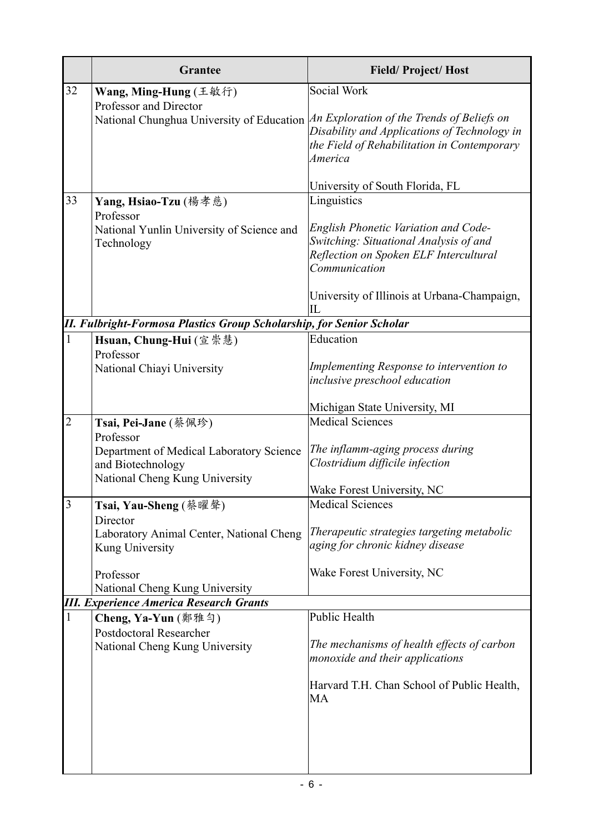|                         | <b>Grantee</b>                                                                                                 | <b>Field/Project/Host</b>                                                                                                                        |
|-------------------------|----------------------------------------------------------------------------------------------------------------|--------------------------------------------------------------------------------------------------------------------------------------------------|
| 32                      | Wang, Ming-Hung (王敏行)                                                                                          | Social Work                                                                                                                                      |
|                         | Professor and Director<br>National Chunghua University of Education An Exploration of the Trends of Beliefs on | Disability and Applications of Technology in<br>the Field of Rehabilitation in Contemporary<br>America                                           |
|                         |                                                                                                                | University of South Florida, FL                                                                                                                  |
| 33                      | Yang, Hsiao-Tzu (楊孝慈)<br>Professor                                                                             | Linguistics                                                                                                                                      |
|                         | National Yunlin University of Science and<br>Technology                                                        | <b>English Phonetic Variation and Code-</b><br>Switching: Situational Analysis of and<br>Reflection on Spoken ELF Intercultural<br>Communication |
|                         |                                                                                                                | University of Illinois at Urbana-Champaign,<br>IL                                                                                                |
|                         | <b>II. Fulbright-Formosa Plastics Group Scholarship, for Senior Scholar</b>                                    |                                                                                                                                                  |
| $\mathbf{1}$            | Hsuan, Chung-Hui (宣崇慧)                                                                                         | Education                                                                                                                                        |
|                         | Professor                                                                                                      | Implementing Response to intervention to                                                                                                         |
|                         | National Chiayi University                                                                                     | inclusive preschool education                                                                                                                    |
|                         |                                                                                                                | Michigan State University, MI                                                                                                                    |
| $\overline{2}$          | Tsai, Pei-Jane (蔡佩珍)<br>Professor                                                                              | <b>Medical Sciences</b>                                                                                                                          |
|                         | Department of Medical Laboratory Science<br>and Biotechnology<br>National Cheng Kung University                | The inflamm-aging process during<br>Clostridium difficile infection                                                                              |
|                         |                                                                                                                | Wake Forest University, NC                                                                                                                       |
| $\overline{\mathbf{3}}$ | Tsai, Yau-Sheng (蔡曜聲)<br>Director                                                                              | <b>Medical Sciences</b>                                                                                                                          |
|                         | Laboratory Animal Center, National Cheng<br>Kung University                                                    | Therapeutic strategies targeting metabolic<br>aging for chronic kidney disease                                                                   |
|                         | Professor                                                                                                      | Wake Forest University, NC                                                                                                                       |
|                         | National Cheng Kung University<br><b>III. Experience America Research Grants</b>                               |                                                                                                                                                  |
| $\mathbf{1}$            | Cheng, Ya-Yun (鄭雅勻)                                                                                            | <b>Public Health</b>                                                                                                                             |
|                         | <b>Postdoctoral Researcher</b>                                                                                 |                                                                                                                                                  |
|                         | National Cheng Kung University                                                                                 | The mechanisms of health effects of carbon<br>monoxide and their applications                                                                    |
|                         |                                                                                                                | Harvard T.H. Chan School of Public Health,<br>MA                                                                                                 |
|                         |                                                                                                                |                                                                                                                                                  |
|                         |                                                                                                                |                                                                                                                                                  |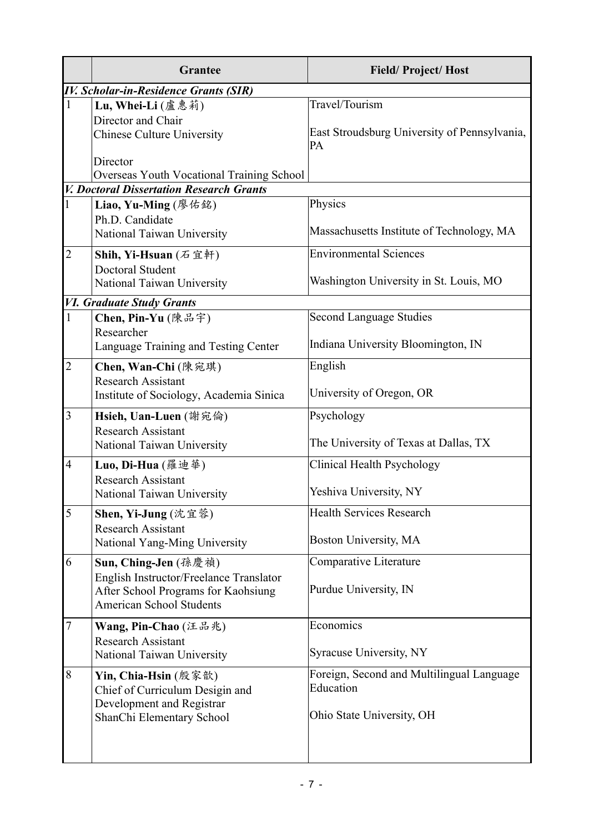|                | <b>Grantee</b>                                                                                                    | <b>Field/Project/Host</b>                                                           |  |
|----------------|-------------------------------------------------------------------------------------------------------------------|-------------------------------------------------------------------------------------|--|
|                | <b>IV. Scholar-in-Residence Grants (SIR)</b>                                                                      |                                                                                     |  |
| $\mathbf{1}$   | Lu, Whei-Li (盧惠莉)<br>Director and Chair<br><b>Chinese Culture University</b>                                      | Travel/Tourism<br>East Stroudsburg University of Pennsylvania,<br>PA                |  |
|                | Director<br>Overseas Youth Vocational Training School                                                             |                                                                                     |  |
|                | <b>V. Doctoral Dissertation Research Grants</b>                                                                   |                                                                                     |  |
| $\mathbf{1}$   | Liao, Yu-Ming (廖佑銘)<br>Ph.D. Candidate<br>National Taiwan University                                              | Physics<br>Massachusetts Institute of Technology, MA                                |  |
| $\overline{2}$ | Shih, Yi-Hsuan (石宜軒)                                                                                              | <b>Environmental Sciences</b>                                                       |  |
|                | Doctoral Student<br>National Taiwan University                                                                    | Washington University in St. Louis, MO                                              |  |
|                | <b>VI. Graduate Study Grants</b>                                                                                  |                                                                                     |  |
| $\mathbf{1}$   | Chen, Pin-Yu (陳品宇)<br>Researcher<br>Language Training and Testing Center                                          | <b>Second Language Studies</b><br>Indiana University Bloomington, IN                |  |
|                |                                                                                                                   |                                                                                     |  |
| $\overline{2}$ | Chen, Wan-Chi (陳宛琪)<br><b>Research Assistant</b><br>Institute of Sociology, Academia Sinica                       | English<br>University of Oregon, OR                                                 |  |
|                |                                                                                                                   |                                                                                     |  |
| 3              | Hsieh, Uan-Luen (謝宛倫)<br><b>Research Assistant</b><br>National Taiwan University                                  | Psychology<br>The University of Texas at Dallas, TX                                 |  |
| $\overline{4}$ | Luo, Di-Hua (羅迪華)                                                                                                 | Clinical Health Psychology                                                          |  |
|                | <b>Research Assistant</b><br>National Taiwan University                                                           | Yeshiva University, NY                                                              |  |
| 5              | Shen, Yi-Jung (沈宜蓉)                                                                                               | <b>Health Services Research</b>                                                     |  |
|                | <b>Research Assistant</b><br>National Yang-Ming University                                                        | Boston University, MA                                                               |  |
| 6              | Sun, Ching-Jen (孫慶禎)                                                                                              | Comparative Literature                                                              |  |
|                | English Instructor/Freelance Translator<br>After School Programs for Kaohsiung<br><b>American School Students</b> | Purdue University, IN                                                               |  |
| $\overline{7}$ | Wang, Pin-Chao $(4.1.1)$                                                                                          | Economics                                                                           |  |
|                | <b>Research Assistant</b><br>National Taiwan University                                                           | Syracuse University, NY                                                             |  |
| 8              | Yin, Chia-Hsin (殷家歆)<br>Chief of Curriculum Desigin and<br>Development and Registrar                              | Foreign, Second and Multilingual Language<br>Education<br>Ohio State University, OH |  |
|                | ShanChi Elementary School                                                                                         |                                                                                     |  |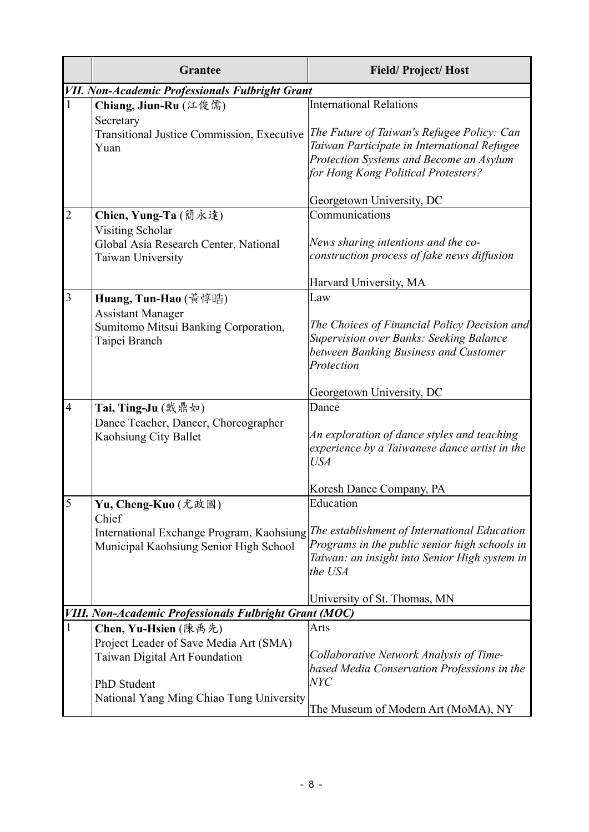|                | <b>Grantee</b>                                                                    | <b>Field/Project/Host</b>                                                                                                                                                                           |
|----------------|-----------------------------------------------------------------------------------|-----------------------------------------------------------------------------------------------------------------------------------------------------------------------------------------------------|
|                | <b>VII. Non-Academic Professionals Fulbright Grant</b>                            |                                                                                                                                                                                                     |
|                | Chiang, Jiun-Ru (江俊儒)<br>Secretary                                                | <b>International Relations</b>                                                                                                                                                                      |
|                | Transitional Justice Commission, Executive<br>Yuan                                | The Future of Taiwan's Refugee Policy: Can<br>Taiwan Participate in International Refugee<br>Protection Systems and Become an Asylum<br>for Hong Kong Political Protesters?                         |
|                |                                                                                   | Georgetown University, DC                                                                                                                                                                           |
| $\overline{2}$ | Chien, Yung-Ta (簡永達)<br>Visiting Scholar                                          | Communications                                                                                                                                                                                      |
|                | Global Asia Research Center, National<br>Taiwan University                        | News sharing intentions and the co-<br>construction process of fake news diffusion                                                                                                                  |
|                |                                                                                   | Harvard University, MA                                                                                                                                                                              |
| 3              | Huang, Tun-Hao (黃惇晧)                                                              | Law                                                                                                                                                                                                 |
|                | <b>Assistant Manager</b><br>Sumitomo Mitsui Banking Corporation,<br>Taipei Branch | The Choices of Financial Policy Decision and<br>Supervision over Banks: Seeking Balance<br>between Banking Business and Customer<br>Protection                                                      |
|                |                                                                                   | Georgetown University, DC                                                                                                                                                                           |
| $\overline{4}$ | Tai, Ting-Ju (戴鼎如)                                                                | Dance                                                                                                                                                                                               |
|                | Dance Teacher, Dancer, Choreographer<br>Kaohsiung City Ballet                     | An exploration of dance styles and teaching<br>experience by a Taiwanese dance artist in the<br><b>USA</b>                                                                                          |
|                |                                                                                   | Koresh Dance Company, PA                                                                                                                                                                            |
| 5              | Yu, Cheng-Kuo (尤政國)                                                               | Education                                                                                                                                                                                           |
|                | Chief                                                                             |                                                                                                                                                                                                     |
|                | Municipal Kaohsiung Senior High School                                            | International Exchange Program, Kaohsiung The establishment of International Education<br>Programs in the public senior high schools in<br>Taiwan: an insight into Senior High system in<br>the USA |
|                |                                                                                   | University of St. Thomas, MN                                                                                                                                                                        |
|                | <b>VIII. Non-Academic Professionals Fulbright Grant (MOC)</b>                     |                                                                                                                                                                                                     |
| $\mathbf{1}$   | Chen, Yu-Hsien (陳禹先)                                                              | Arts                                                                                                                                                                                                |
|                | Project Leader of Save Media Art (SMA)<br>Taiwan Digital Art Foundation           | Collaborative Network Analysis of Time-<br>based Media Conservation Professions in the                                                                                                              |
|                | PhD Student<br>National Yang Ming Chiao Tung University                           | <b>NYC</b>                                                                                                                                                                                          |
|                |                                                                                   | The Museum of Modern Art (MoMA), NY                                                                                                                                                                 |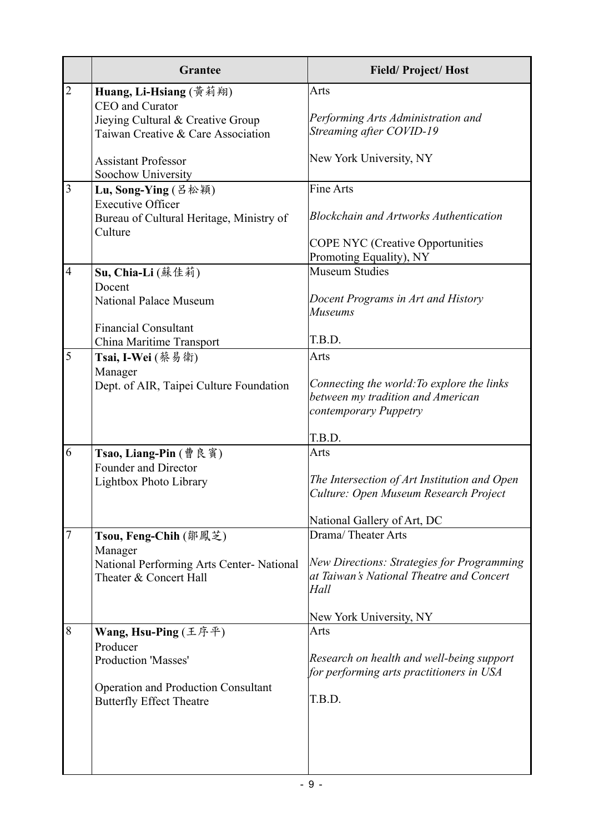|                | <b>Grantee</b>                                                                                                                                  | <b>Field/Project/Host</b>                                                                                                                              |
|----------------|-------------------------------------------------------------------------------------------------------------------------------------------------|--------------------------------------------------------------------------------------------------------------------------------------------------------|
| $\overline{2}$ | Huang, Li-Hsiang (黃莉翔)<br>CEO and Curator<br>Jieying Cultural & Creative Group<br>Taiwan Creative & Care Association                            | Arts<br>Performing Arts Administration and<br>Streaming after COVID-19                                                                                 |
|                | <b>Assistant Professor</b><br>Soochow University                                                                                                | New York University, NY                                                                                                                                |
| $\overline{3}$ | Lu, Song-Ying (吕松穎)<br><b>Executive Officer</b><br>Bureau of Cultural Heritage, Ministry of<br>Culture                                          | <b>Fine Arts</b><br><b>Blockchain and Artworks Authentication</b>                                                                                      |
|                |                                                                                                                                                 | <b>COPE NYC</b> (Creative Opportunities<br>Promoting Equality), NY                                                                                     |
| $\overline{4}$ | Su, Chia-Li (蘇佳莉)<br>Docent<br><b>National Palace Museum</b><br><b>Financial Consultant</b>                                                     | <b>Museum Studies</b><br>Docent Programs in Art and History<br><b>Museums</b>                                                                          |
|                | China Maritime Transport                                                                                                                        | T.B.D.                                                                                                                                                 |
| 5              | Tsai, I-Wei (蔡易衛)<br>Manager<br>Dept. of AIR, Taipei Culture Foundation                                                                         | Arts<br>Connecting the world: To explore the links<br>between my tradition and American<br>contemporary Puppetry<br>T.B.D.                             |
| 6              | Tsao, Liang-Pin (曹良賓)<br>Founder and Director<br>Lightbox Photo Library                                                                         | Arts<br>The Intersection of Art Institution and Open<br>Culture: Open Museum Research Project<br>National Gallery of Art, DC                           |
| $\overline{7}$ | Tsou, Feng-Chih (鄒鳳芝)<br>Manager<br>National Performing Arts Center- National<br>Theater & Concert Hall                                         | Drama/Theater Arts<br><b>New Directions: Strategies for Programming</b><br>at Taiwan's National Theatre and Concert<br>Hall<br>New York University, NY |
| 8              | Wang, Hsu-Ping (王序平)<br>Producer<br><b>Production 'Masses'</b><br><b>Operation and Production Consultant</b><br><b>Butterfly Effect Theatre</b> | Arts<br>Research on health and well-being support<br>for performing arts practitioners in USA<br>T.B.D.                                                |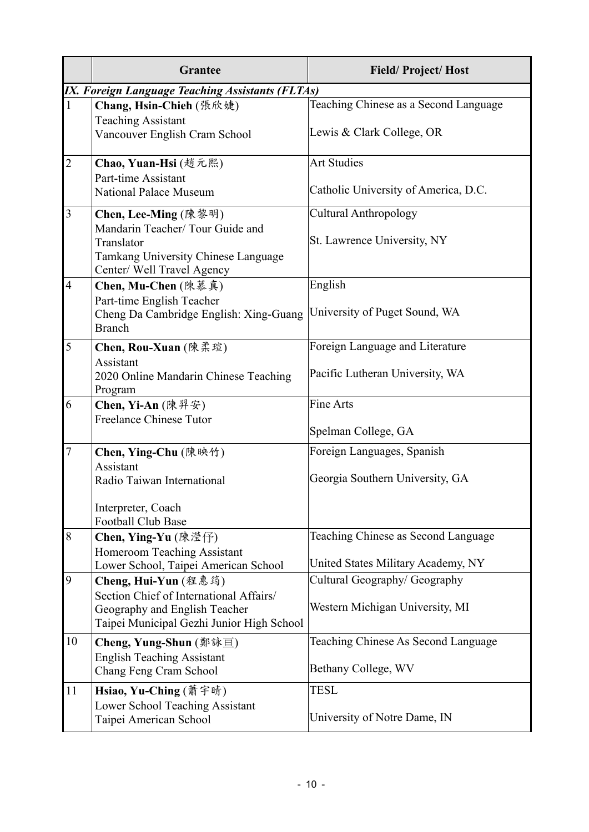|                | <b>Grantee</b>                                                           | <b>Field/Project/Host</b>             |
|----------------|--------------------------------------------------------------------------|---------------------------------------|
|                | IX. Foreign Language Teaching Assistants (FLTAs)                         |                                       |
| $\mathbf{1}$   | Chang, Hsin-Chieh (張欣婕)                                                  | Teaching Chinese as a Second Language |
|                | <b>Teaching Assistant</b>                                                |                                       |
|                | Vancouver English Cram School                                            | Lewis & Clark College, OR             |
| $\overline{2}$ | Chao, Yuan-Hsi (趙元熙)                                                     | <b>Art Studies</b>                    |
|                | Part-time Assistant                                                      |                                       |
|                | <b>National Palace Museum</b>                                            | Catholic University of America, D.C.  |
| $\overline{3}$ | Chen, Lee-Ming (陳黎明)                                                     | <b>Cultural Anthropology</b>          |
|                | Mandarin Teacher/ Tour Guide and                                         |                                       |
|                | Translator                                                               | St. Lawrence University, NY           |
|                | Tamkang University Chinese Language<br>Center/ Well Travel Agency        |                                       |
| $\overline{4}$ | Chen, Mu-Chen (陳慕真)                                                      | English                               |
|                | Part-time English Teacher                                                |                                       |
|                | Cheng Da Cambridge English: Xing-Guang                                   | University of Puget Sound, WA         |
|                | <b>Branch</b>                                                            |                                       |
| 5              | Chen, Rou-Xuan (陳柔瑄)                                                     | Foreign Language and Literature       |
|                | Assistant                                                                | Pacific Lutheran University, WA       |
|                | 2020 Online Mandarin Chinese Teaching<br>Program                         |                                       |
| 6              | Chen, Yi-An (陳羿安)                                                        | Fine Arts                             |
|                | <b>Freelance Chinese Tutor</b>                                           |                                       |
|                |                                                                          | Spelman College, GA                   |
| $\tau$         | Chen, Ying-Chu (陳映竹)                                                     | Foreign Languages, Spanish            |
|                | Assistant                                                                |                                       |
|                | Radio Taiwan International                                               | Georgia Southern University, GA       |
|                | Interpreter, Coach                                                       |                                       |
|                | <b>Football Club Base</b>                                                |                                       |
| 8              | Chen, Ying-Yu (陳瀅仔)                                                      | Teaching Chinese as Second Language   |
|                | Homeroom Teaching Assistant                                              |                                       |
|                | Lower School, Taipei American School                                     | United States Military Academy, NY    |
| 9              | Cheng, Hui-Yun (程惠筠)                                                     | Cultural Geography/ Geography         |
|                | Section Chief of International Affairs/<br>Geography and English Teacher | Western Michigan University, MI       |
|                | Taipei Municipal Gezhi Junior High School                                |                                       |
| 10             | Cheng, Yung-Shun (鄭詠亘)                                                   | Teaching Chinese As Second Language   |
|                | <b>English Teaching Assistant</b>                                        |                                       |
|                | Chang Feng Cram School                                                   | Bethany College, WV                   |
| 11             | Hsiao, Yu-Ching (蕭宇晴)                                                    | <b>TESL</b>                           |
|                | Lower School Teaching Assistant                                          |                                       |
|                | Taipei American School                                                   | University of Notre Dame, IN          |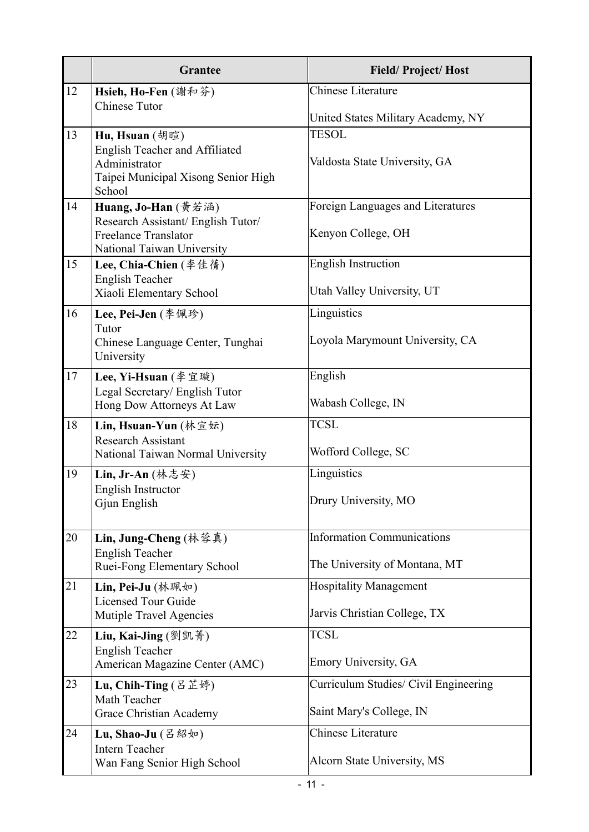|    | <b>Grantee</b>                                                                                                     | <b>Field/Project/Host</b>                     |
|----|--------------------------------------------------------------------------------------------------------------------|-----------------------------------------------|
| 12 | Hsieh, Ho-Fen (謝和芬)<br><b>Chinese Tutor</b>                                                                        | Chinese Literature                            |
|    |                                                                                                                    | United States Military Academy, NY            |
| 13 | Hu, Hsuan (胡暄)<br>English Teacher and Affiliated<br>Administrator<br>Taipei Municipal Xisong Senior High<br>School | <b>TESOL</b><br>Valdosta State University, GA |
| 14 | Huang, Jo-Han (黃若涵)                                                                                                | Foreign Languages and Literatures             |
|    | Research Assistant/ English Tutor/<br><b>Freelance Translator</b><br>National Taiwan University                    | Kenyon College, OH                            |
| 15 | Lee, Chia-Chien (李佳蒨)                                                                                              | <b>English Instruction</b>                    |
|    | <b>English Teacher</b><br>Xiaoli Elementary School                                                                 | Utah Valley University, UT                    |
| 16 | Lee, Pei-Jen (李佩珍)                                                                                                 | Linguistics                                   |
|    | Tutor<br>Chinese Language Center, Tunghai<br>University                                                            | Loyola Marymount University, CA               |
| 17 | Lee, Yi-Hsuan (李宜璇)                                                                                                | English                                       |
|    | Legal Secretary/ English Tutor<br>Hong Dow Attorneys At Law                                                        | Wabash College, IN                            |
| 18 | Lin, Hsuan-Yun $($ 林宣坛)                                                                                            | <b>TCSL</b>                                   |
|    | <b>Research Assistant</b><br>National Taiwan Normal University                                                     | Wofford College, SC                           |
| 19 | Lin, Jr-An $($ 林志安 $)$                                                                                             | Linguistics                                   |
|    | <b>English Instructor</b><br>Gjun English                                                                          | Drury University, MO                          |
| 20 | Lin, Jung-Cheng (林蓉真)                                                                                              | <b>Information Communications</b>             |
|    | <b>English Teacher</b><br>Ruei-Fong Elementary School                                                              | The University of Montana, MT                 |
| 21 | Lin, Pei-Ju (林珮如)                                                                                                  | <b>Hospitality Management</b>                 |
|    | <b>Licensed Tour Guide</b><br>Mutiple Travel Agencies                                                              | Jarvis Christian College, TX                  |
| 22 | Liu, Kai-Jing (劉凱菁)                                                                                                | <b>TCSL</b>                                   |
|    | <b>English Teacher</b><br>American Magazine Center (AMC)                                                           | Emory University, GA                          |
| 23 | Lu, Chih-Ting $(ZE \, \ddot{\mathbb{E}} \, \ddot{\mathfrak{H}})$                                                   | Curriculum Studies/ Civil Engineering         |
|    | Math Teacher<br>Grace Christian Academy                                                                            | Saint Mary's College, IN                      |
| 24 | Lu, Shao-Ju $(B \boxtimes \psi)$                                                                                   | <b>Chinese Literature</b>                     |
|    | <b>Intern Teacher</b><br>Wan Fang Senior High School                                                               | Alcorn State University, MS                   |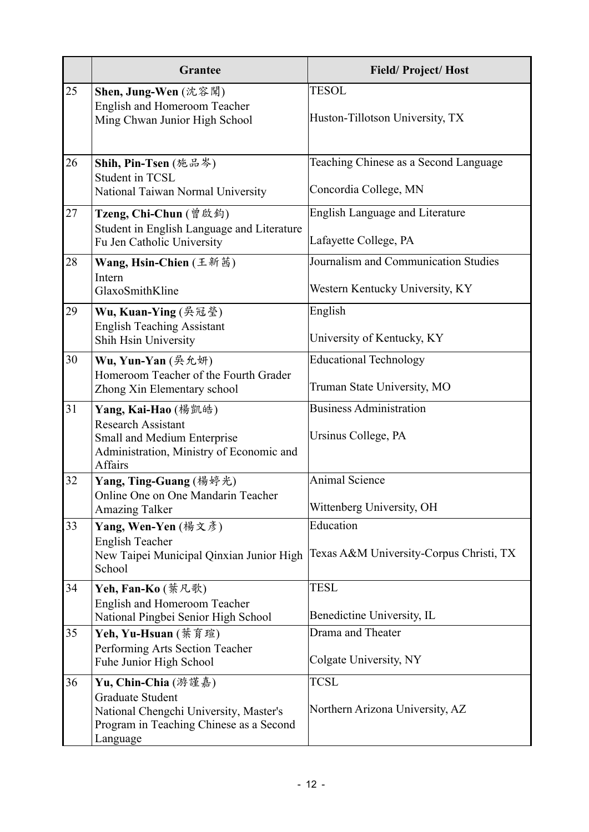|    | <b>Grantee</b>                                                                                                                                  | <b>Field/Project/Host</b>                                               |
|----|-------------------------------------------------------------------------------------------------------------------------------------------------|-------------------------------------------------------------------------|
| 25 | Shen, Jung-Wen (沈容聞)<br><b>English and Homeroom Teacher</b><br>Ming Chwan Junior High School                                                    | <b>TESOL</b><br>Huston-Tillotson University, TX                         |
| 26 | Shih, Pin-Tsen (施品岑)<br><b>Student in TCSL</b><br>National Taiwan Normal University                                                             | Teaching Chinese as a Second Language<br>Concordia College, MN          |
| 27 | Tzeng, Chi-Chun (曾啟鈞)<br>Student in English Language and Literature<br>Fu Jen Catholic University                                               | <b>English Language and Literature</b><br>Lafayette College, PA         |
| 28 | Wang, Hsin-Chien (王新茜)<br>Intern<br>GlaxoSmithKline                                                                                             | Journalism and Communication Studies<br>Western Kentucky University, KY |
| 29 | Wu, Kuan-Ying (吳冠瑩)<br><b>English Teaching Assistant</b><br>Shih Hsin University                                                                | English<br>University of Kentucky, KY                                   |
| 30 | Wu, Yun-Yan (吳允妍)<br>Homeroom Teacher of the Fourth Grader<br>Zhong Xin Elementary school                                                       | <b>Educational Technology</b><br>Truman State University, MO            |
| 31 | Yang, Kai-Hao (楊凱皓)<br><b>Research Assistant</b><br>Small and Medium Enterprise<br>Administration, Ministry of Economic and<br>Affairs          | <b>Business Administration</b><br>Ursinus College, PA                   |
| 32 | Yang, Ting-Guang (楊婷光)<br>Online One on One Mandarin Teacher<br><b>Amazing Talker</b>                                                           | <b>Animal Science</b><br>Wittenberg University, OH                      |
| 33 | Yang, Wen-Yen (楊文彥)<br><b>English Teacher</b><br>New Taipei Municipal Qinxian Junior High<br>School                                             | Education<br>Texas A&M University-Corpus Christi, TX                    |
| 34 | Yeh, Fan-Ko (葉凡歌)<br>English and Homeroom Teacher<br>National Pingbei Senior High School                                                        | <b>TESL</b><br>Benedictine University, IL                               |
| 35 | Yeh, Yu-Hsuan (葉育瑄)<br>Performing Arts Section Teacher<br>Fuhe Junior High School                                                               | Drama and Theater<br>Colgate University, NY                             |
| 36 | Yu, Chin-Chia (游謹嘉)<br><b>Graduate Student</b><br>National Chengchi University, Master's<br>Program in Teaching Chinese as a Second<br>Language | <b>TCSL</b><br>Northern Arizona University, AZ                          |